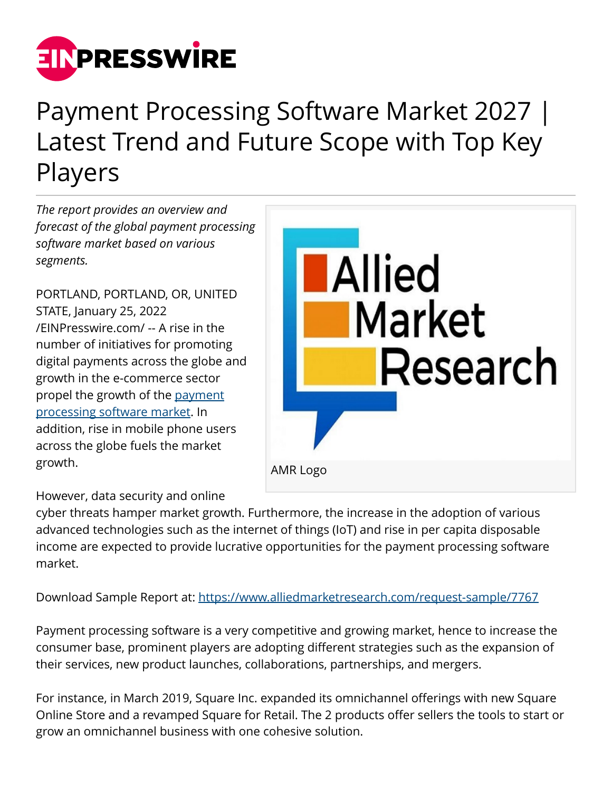

## Payment Processing Software Market 2027 | Latest Trend and Future Scope with Top Key Players

*The report provides an overview and forecast of the global payment processing software market based on various segments.*

PORTLAND, PORTLAND, OR, UNITED STATE, January 25, 2022 [/EINPresswire.com/](http://www.einpresswire.com) -- A rise in the number of initiatives for promoting digital payments across the globe and growth in the e-commerce sector propel the growth of the [payment](https://www.alliedmarketresearch.com/payment-processing-software-market-A07402) [processing software market.](https://www.alliedmarketresearch.com/payment-processing-software-market-A07402) In addition, rise in mobile phone users across the globe fuels the market growth.



However, data security and online

cyber threats hamper market growth. Furthermore, the increase in the adoption of various advanced technologies such as the internet of things (IoT) and rise in per capita disposable income are expected to provide lucrative opportunities for the payment processing software market.

Download Sample Report at: <https://www.alliedmarketresearch.com/request-sample/7767>

Payment processing software is a very competitive and growing market, hence to increase the consumer base, prominent players are adopting different strategies such as the expansion of their services, new product launches, collaborations, partnerships, and mergers.

For instance, in March 2019, Square Inc. expanded its omnichannel offerings with new Square Online Store and a revamped Square for Retail. The 2 products offer sellers the tools to start or grow an omnichannel business with one cohesive solution.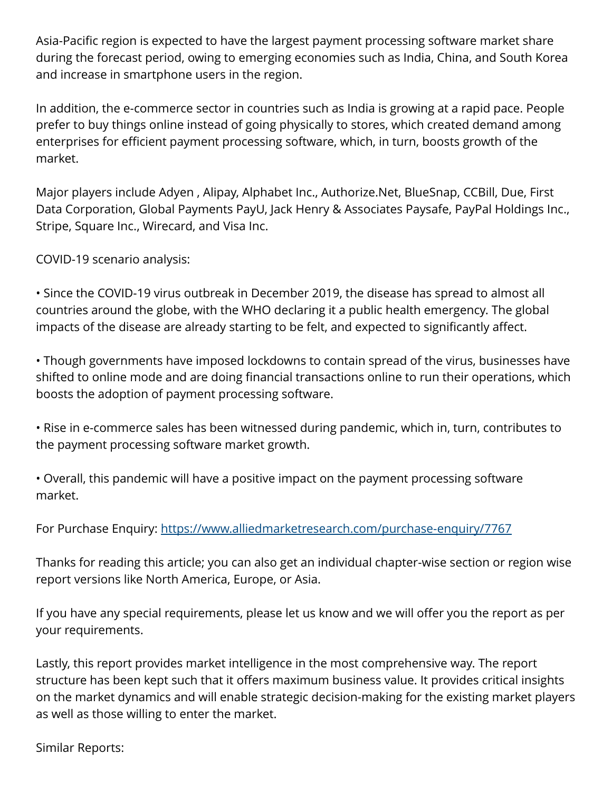Asia-Pacific region is expected to have the largest payment processing software market share during the forecast period, owing to emerging economies such as India, China, and South Korea and increase in smartphone users in the region.

In addition, the e-commerce sector in countries such as India is growing at a rapid pace. People prefer to buy things online instead of going physically to stores, which created demand among enterprises for efficient payment processing software, which, in turn, boosts growth of the market.

Major players include Adyen , Alipay, Alphabet Inc., Authorize.Net, BlueSnap, CCBill, Due, First Data Corporation, Global Payments PayU, Jack Henry & Associates Paysafe, PayPal Holdings Inc., Stripe, Square Inc., Wirecard, and Visa Inc.

COVID-19 scenario analysis:

• Since the COVID-19 virus outbreak in December 2019, the disease has spread to almost all countries around the globe, with the WHO declaring it a public health emergency. The global impacts of the disease are already starting to be felt, and expected to significantly affect.

• Though governments have imposed lockdowns to contain spread of the virus, businesses have shifted to online mode and are doing financial transactions online to run their operations, which boosts the adoption of payment processing software.

• Rise in e-commerce sales has been witnessed during pandemic, which in, turn, contributes to the payment processing software market growth.

• Overall, this pandemic will have a positive impact on the payment processing software market.

For Purchase Enquiry: <https://www.alliedmarketresearch.com/purchase-enquiry/7767>

Thanks for reading this article; you can also get an individual chapter-wise section or region wise report versions like North America, Europe, or Asia.

If you have any special requirements, please let us know and we will offer you the report as per your requirements.

Lastly, this report provides market intelligence in the most comprehensive way. The report structure has been kept such that it offers maximum business value. It provides critical insights on the market dynamics and will enable strategic decision-making for the existing market players as well as those willing to enter the market.

Similar Reports: